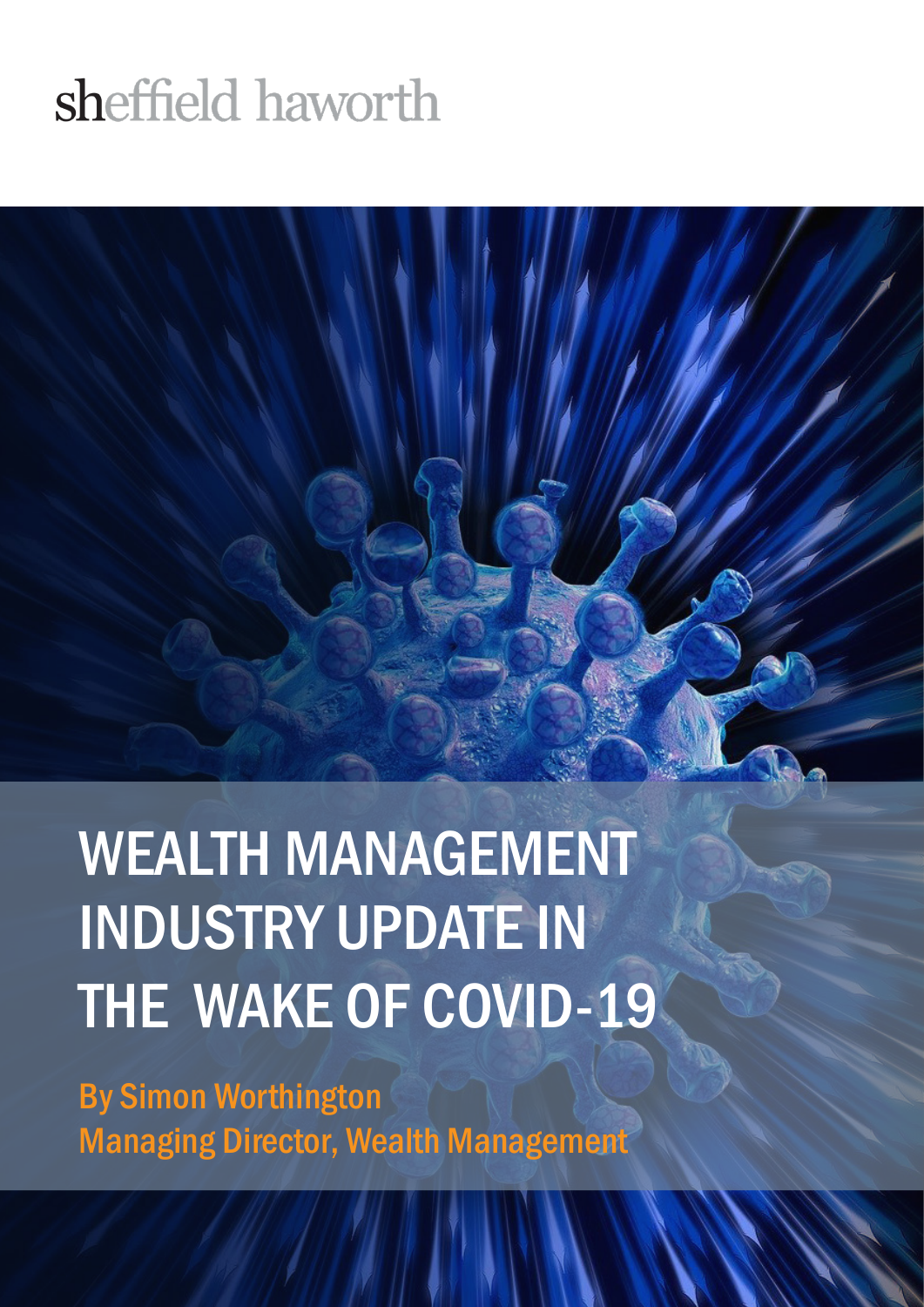#### sheffield haworth

WEALTH MANAGEMENT INDUSTRY UPDATE IN THE WAKE OF COVID-19

By Simon Worthington Managing Director, Wealth Management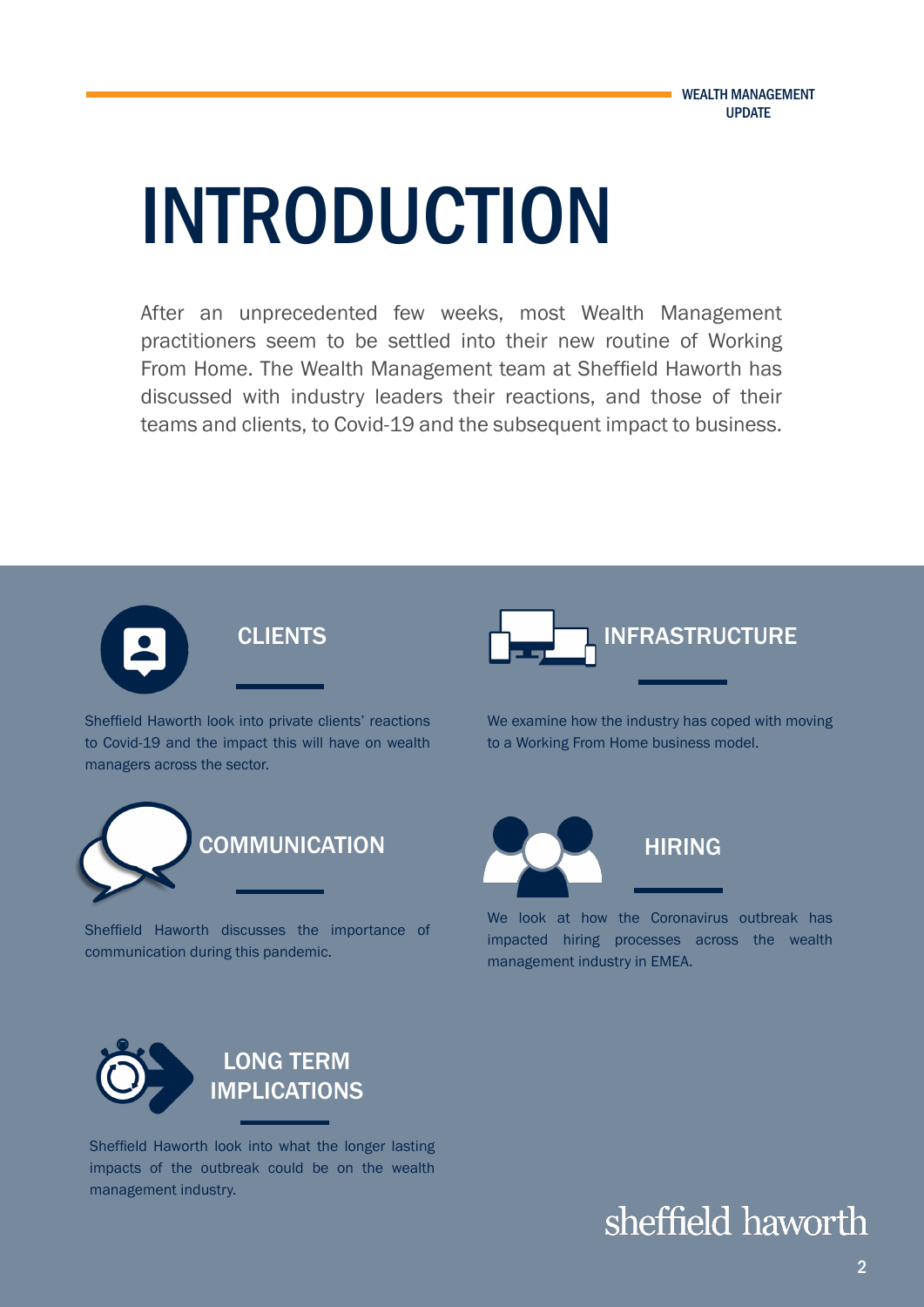# INTRODUCTION

After an unprecedented few weeks, most Wealth Management practitioners seem to be settled into their new routine of Working From Home. The Wealth Management team at Sheffield Haworth has discussed with industry leaders their reactions, and those of their teams and clients, to Covid-19 and the subsequent impact to business.



Sheffield Haworth look into private clients' reactions to Covid-19 and the impact this will have on wealth managers across the sector.



Sheffield Haworth discusses the importance of communication during this pandemic.



We examine how the industry has coped with moving to a Working From Home business model.



We look at how the Coronavirus outbreak has impacted hiring processes across the wealth management industry in EMEA.



Sheffield Haworth look into what the longer lasting impacts of the outbreak could be on the wealth management industry.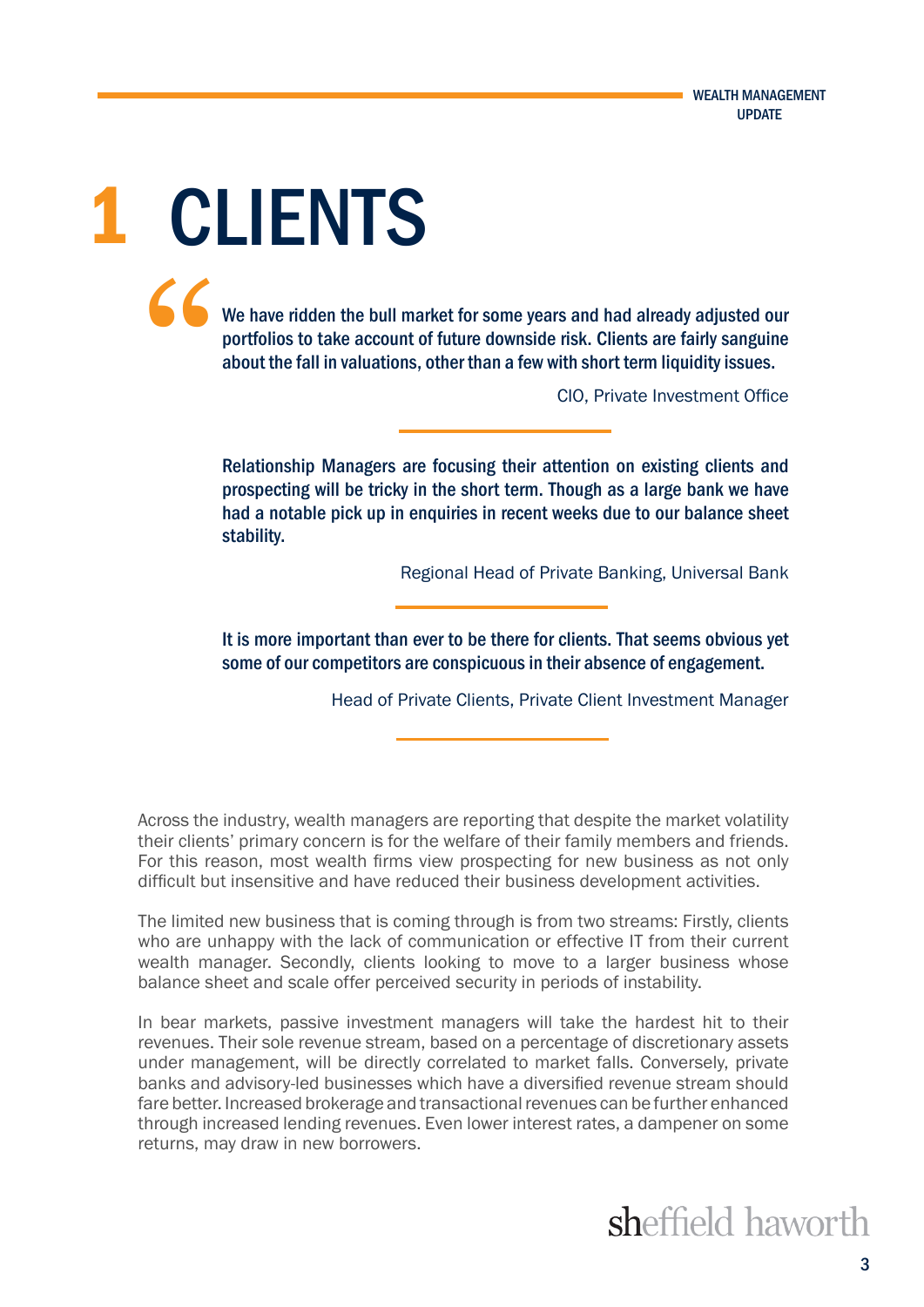1 CLIENTS "

We have ridden the bull market for some years and had already adjusted our portfolios to take account of future downside risk. Clients are fairly sanguine about the fall in valuations, other than a few with short term liquidity issues.

CIO, Private Investment Office

Relationship Managers are focusing their attention on existing clients and prospecting will be tricky in the short term. Though as a large bank we have had a notable pick up in enquiries in recent weeks due to our balance sheet stability.

Regional Head of Private Banking, Universal Bank

It is more important than ever to be there for clients. That seems obvious yet some of our competitors are conspicuous in their absence of engagement.

Head of Private Clients, Private Client Investment Manager

Across the industry, wealth managers are reporting that despite the market volatility their clients' primary concern is for the welfare of their family members and friends. For this reason, most wealth firms view prospecting for new business as not only difficult but insensitive and have reduced their business development activities.

The limited new business that is coming through is from two streams: Firstly, clients who are unhappy with the lack of communication or effective IT from their current wealth manager. Secondly, clients looking to move to a larger business whose balance sheet and scale offer perceived security in periods of instability.

In bear markets, passive investment managers will take the hardest hit to their revenues. Their sole revenue stream, based on a percentage of discretionary assets under management, will be directly correlated to market falls. Conversely, private banks and advisory-led businesses which have a diversified revenue stream should fare better. Increased brokerage and transactional revenues can be further enhanced through increased lending revenues. Even lower interest rates, a dampener on some returns, may draw in new borrowers.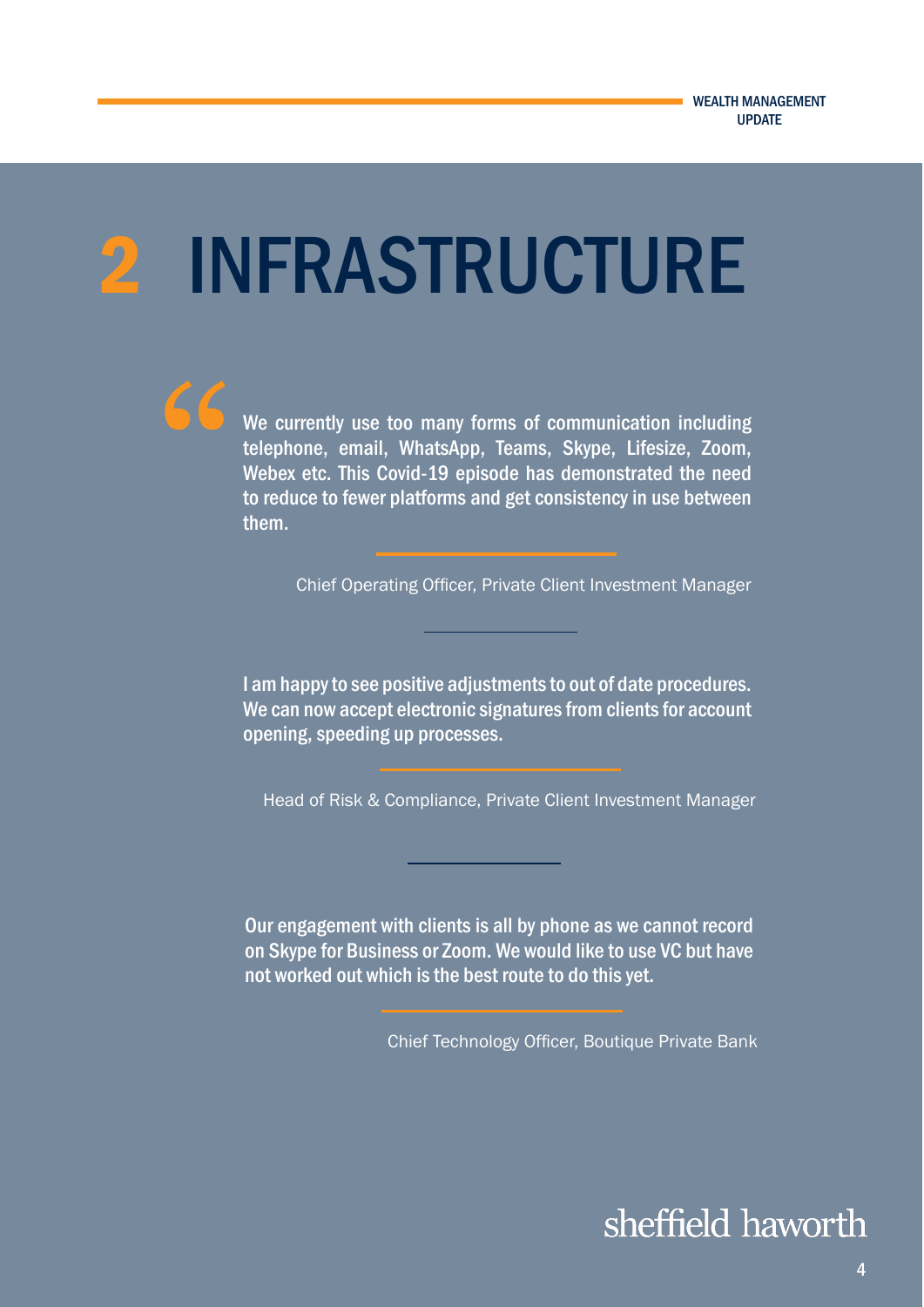## 2 INFRASTRUCTURE



Chief Operating Officer, Private Client Investment Manager

I am happy to see positive adjustments to out of date procedures. We can now accept electronic signatures from clients for account opening, speeding up processes.

Head of Risk & Compliance, Private Client Investment Manager

Our engagement with clients is all by phone as we cannot record on Skype for Business or Zoom. We would like to use VC but have not worked out which is the best route to do this yet.

Chief Technology Officer, Boutique Private Bank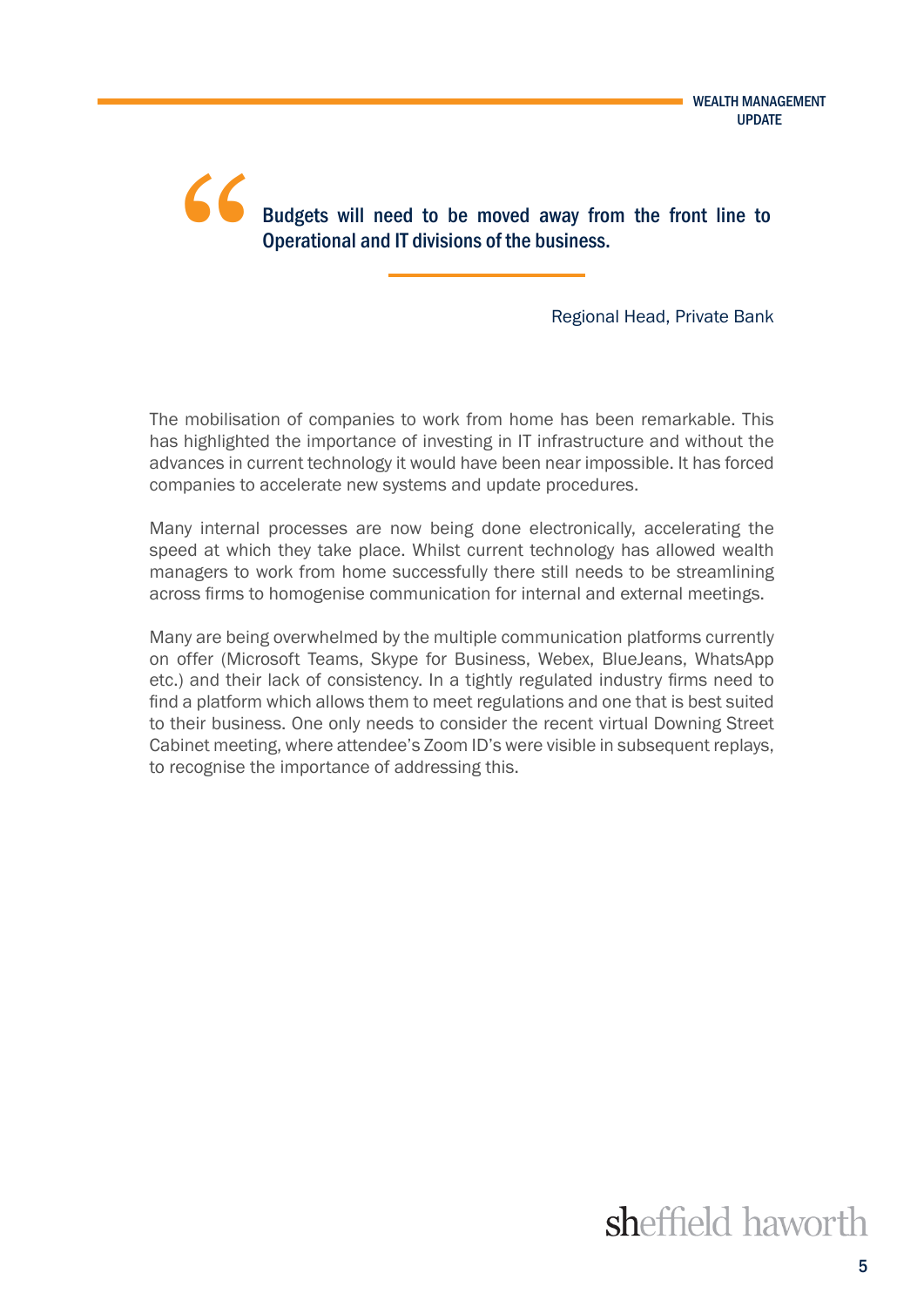Budgets will need to be moved away from the front line to Operational and IT divisions of the business. "

Regional Head, Private Bank

The mobilisation of companies to work from home has been remarkable. This has highlighted the importance of investing in IT infrastructure and without the advances in current technology it would have been near impossible. It has forced companies to accelerate new systems and update procedures.

Many internal processes are now being done electronically, accelerating the speed at which they take place. Whilst current technology has allowed wealth managers to work from home successfully there still needs to be streamlining across firms to homogenise communication for internal and external meetings.

Many are being overwhelmed by the multiple communication platforms currently on offer (Microsoft Teams, Skype for Business, Webex, BlueJeans, WhatsApp etc.) and their lack of consistency. In a tightly regulated industry firms need to find a platform which allows them to meet regulations and one that is best suited to their business. One only needs to consider the recent virtual Downing Street Cabinet meeting, where attendee's Zoom ID's were visible in subsequent replays, to recognise the importance of addressing this.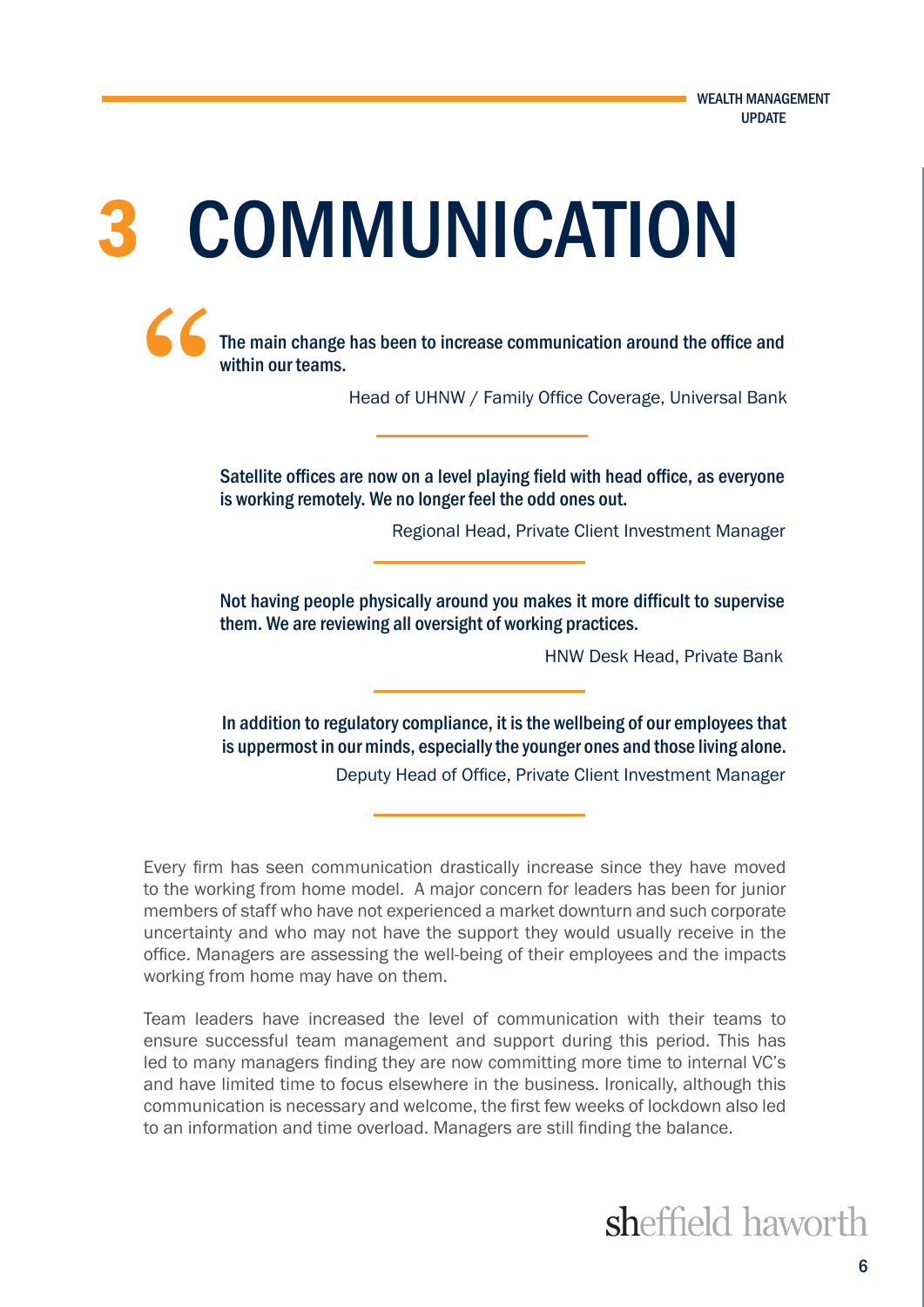# 3 COMMUNICATION

The main change has been to increase communication around the office and within our teams. "

Head of UHNW / Family Office Coverage, Universal Bank

Satellite offices are now on a level playing field with head office, as everyone is working remotely. We no longer feel the odd ones out.

Regional Head, Private Client Investment Manager

Not having people physically around you makes it more difficult to supervise them. We are reviewing all oversight of working practices.

HNW Desk Head, Private Bank

In addition to regulatory compliance, it is the wellbeing of our employees that is uppermost in our minds, especially the younger ones and those living alone. Deputy Head of Office, Private Client Investment Manager

Every firm has seen communication drastically increase since they have moved to the working from home model. A major concern for leaders has been for junior members of staff who have not experienced a market downturn and such corporate uncertainty and who may not have the support they would usually receive in the office. Managers are assessing the well-being of their employees and the impacts working from home may have on them.

Team leaders have increased the level of communication with their teams to ensure successful team management and support during this period. This has led to many managers finding they are now committing more time to internal VC's and have limited time to focus elsewhere in the business. Ironically, although this communication is necessary and welcome, the first few weeks of lockdown also led to an information and time overload. Managers are still finding the balance.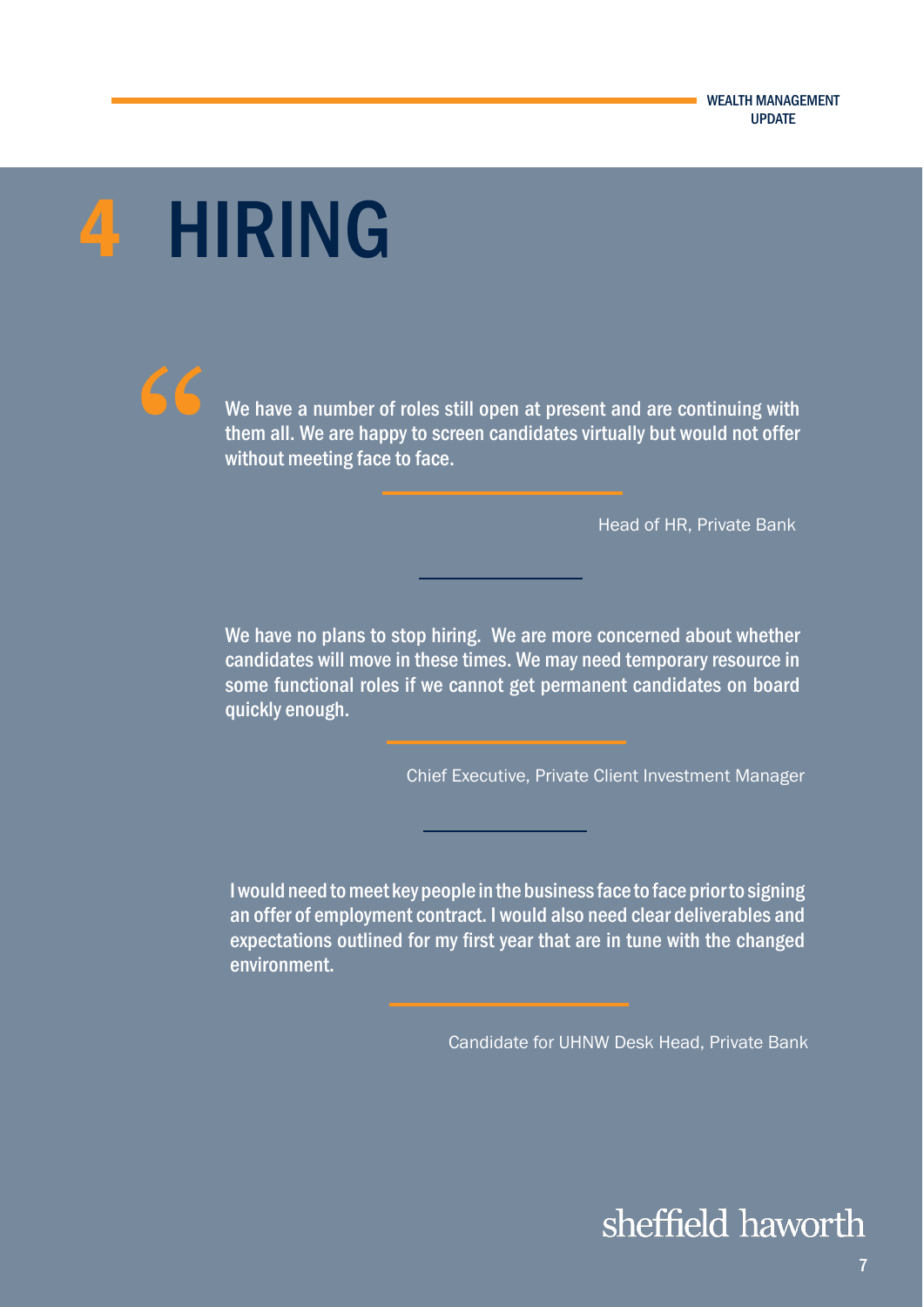# 4 HIRING



We have a number of roles still open at present and are continuing with them all. We are happy to screen candidates virtually but would not offer without meeting face to face.

Head of HR, Private Bank

We have no plans to stop hiring. We are more concerned about whether candidates will move in these times. We may need temporary resource in some functional roles if we cannot get permanent candidates on board quickly enough.

Chief Executive, Private Client Investment Manager

I would need to meet key people in the business face to face prior to signing an offer of employment contract. I would also need clear deliverables and expectations outlined for my first year that are in tune with the changed environment.

Candidate for UHNW Desk Head, Private Bank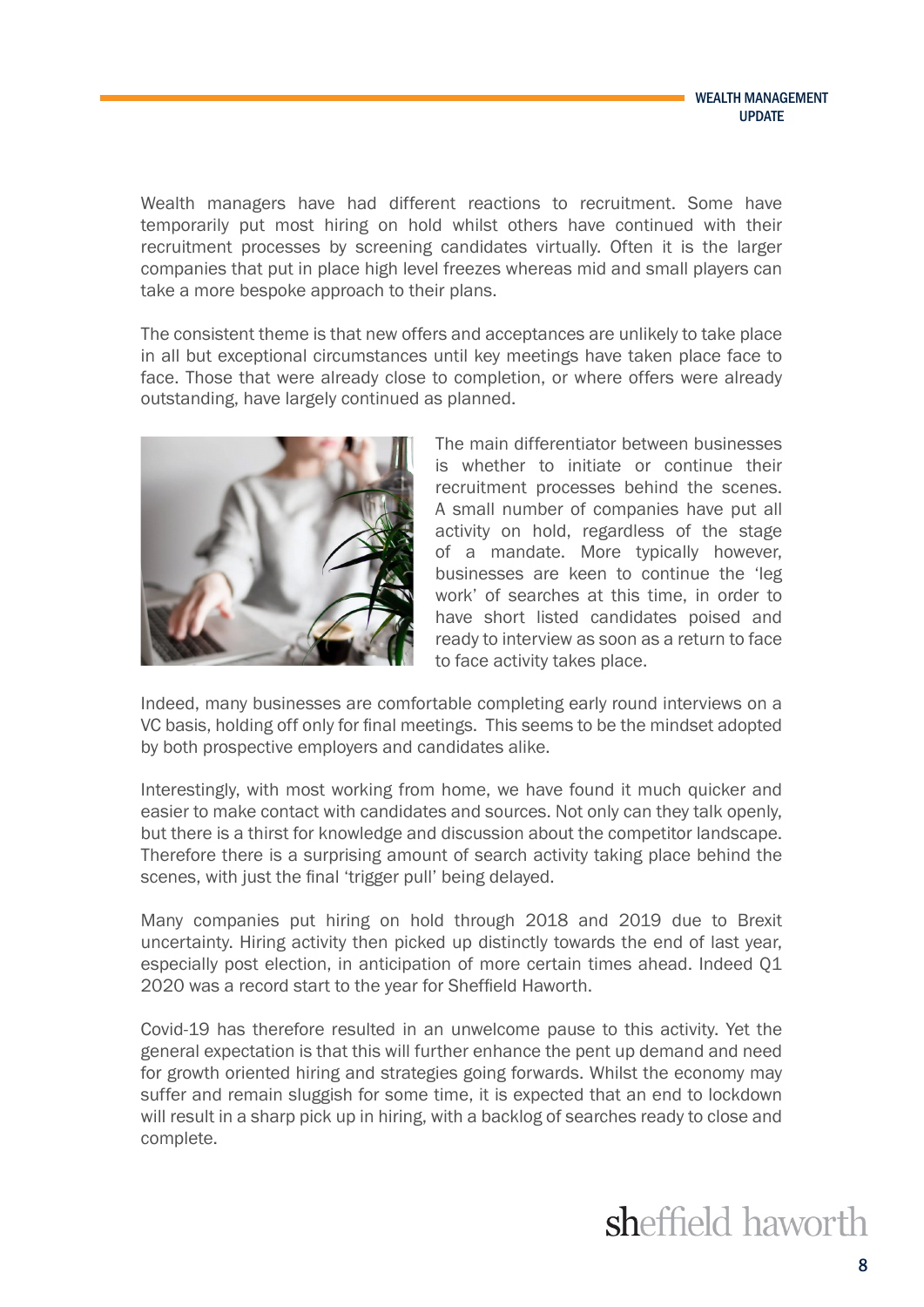Wealth managers have had different reactions to recruitment. Some have temporarily put most hiring on hold whilst others have continued with their recruitment processes by screening candidates virtually. Often it is the larger companies that put in place high level freezes whereas mid and small players can take a more bespoke approach to their plans.

The consistent theme is that new offers and acceptances are unlikely to take place in all but exceptional circumstances until key meetings have taken place face to face. Those that were already close to completion, or where offers were already outstanding, have largely continued as planned.



The main differentiator between businesses is whether to initiate or continue their recruitment processes behind the scenes. A small number of companies have put all activity on hold, regardless of the stage of a mandate. More typically however, businesses are keen to continue the 'leg work' of searches at this time, in order to have short listed candidates poised and ready to interview as soon as a return to face to face activity takes place.

Indeed, many businesses are comfortable completing early round interviews on a VC basis, holding off only for final meetings. This seems to be the mindset adopted by both prospective employers and candidates alike.

Interestingly, with most working from home, we have found it much quicker and easier to make contact with candidates and sources. Not only can they talk openly, but there is a thirst for knowledge and discussion about the competitor landscape. Therefore there is a surprising amount of search activity taking place behind the scenes, with just the final 'trigger pull' being delayed.

Many companies put hiring on hold through 2018 and 2019 due to Brexit uncertainty. Hiring activity then picked up distinctly towards the end of last year, especially post election, in anticipation of more certain times ahead. Indeed Q1 2020 was a record start to the year for Sheffield Haworth.

Covid-19 has therefore resulted in an unwelcome pause to this activity. Yet the general expectation is that this will further enhance the pent up demand and need for growth oriented hiring and strategies going forwards. Whilst the economy may suffer and remain sluggish for some time, it is expected that an end to lockdown will result in a sharp pick up in hiring, with a backlog of searches ready to close and complete.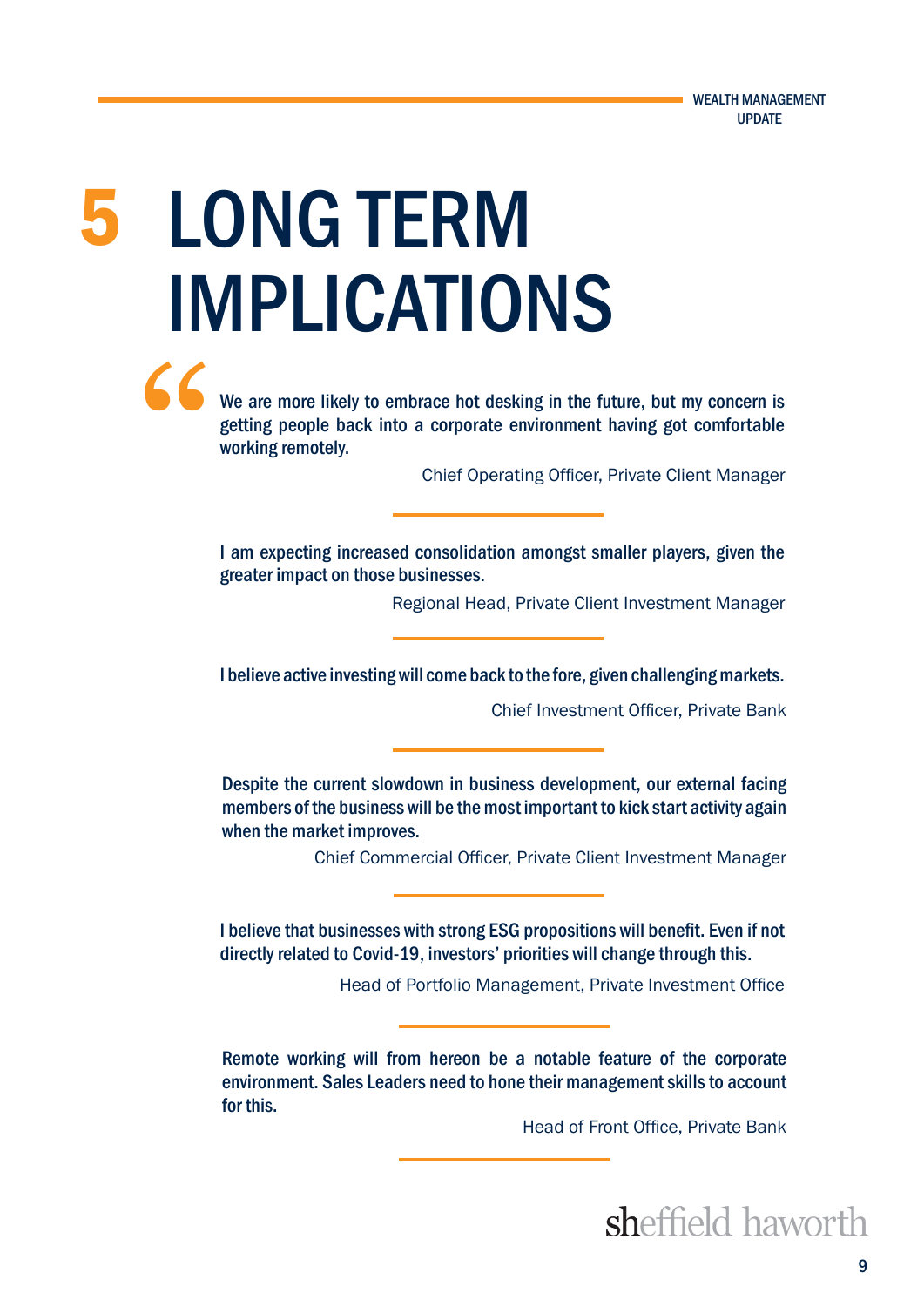# 5 LONG TERM IMPLICATIONS

We are more likely to embrace hot desking in the future, but my concern is getting people back into a corporate environment having got comfortable working remotely. "

Chief Operating Officer, Private Client Manager

I am expecting increased consolidation amongst smaller players, given the greater impact on those businesses.

Regional Head, Private Client Investment Manager

I believe active investing will come back to the fore, given challenging markets.

Chief Investment Officer, Private Bank

Despite the current slowdown in business development, our external facing members of the business will be the most important to kick start activity again when the market improves.

Chief Commercial Officer, Private Client Investment Manager

I believe that businesses with strong ESG propositions will benefit. Even if not directly related to Covid-19, investors' priorities will change through this.

Head of Portfolio Management, Private Investment Office

Remote working will from hereon be a notable feature of the corporate environment. Sales Leaders need to hone their management skills to account for this.

Head of Front Office, Private Bank